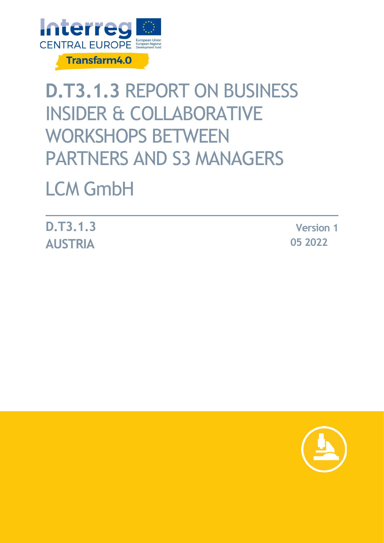

# **D.T3.1.3** REPORT ON BUSINESS INSIDER & COLLABORATIVE WORKSHOPS BETWEEN PARTNERS AND S3 MANAGERS

# LCM GmbH

**D.T3.1.3 AUSTRIA**

**Version 1 05 2022**

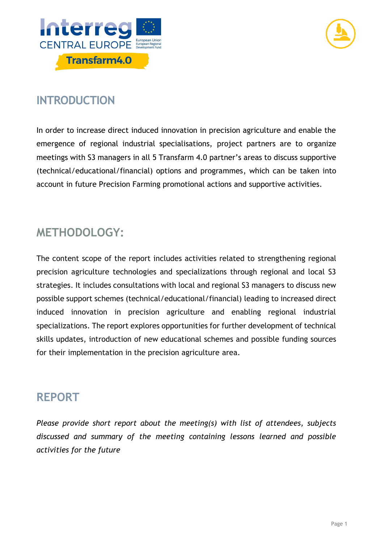



## **INTRODUCTION**

In order to increase direct induced innovation in precision agriculture and enable the emergence of regional industrial specialisations, project partners are to organize meetings with S3 managers in all 5 Transfarm 4.0 partner's areas to discuss supportive (technical/educational/financial) options and programmes, which can be taken into account in future Precision Farming promotional actions and supportive activities.

## **METHODOLOGY:**

The content scope of the report includes activities related to strengthening regional precision agriculture technologies and specializations through regional and local S3 strategies. It includes consultations with local and regional S3 managers to discuss new possible support schemes (technical/educational/financial) leading to increased direct induced innovation in precision agriculture and enabling regional industrial specializations. The report explores opportunities for further development of technical skills updates, introduction of new educational schemes and possible funding sources for their implementation in the precision agriculture area.

## **REPORT**

*Please provide short report about the meeting(s) with list of attendees, subjects discussed and summary of the meeting containing lessons learned and possible activities for the future*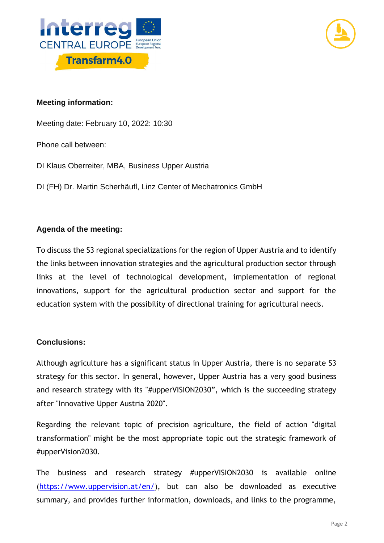



### **Meeting information:**

Meeting date: February 10, 2022: 10:30

Phone call between:

DI Klaus Oberreiter, MBA, Business Upper Austria

DI (FH) Dr. Martin Scherhäufl, Linz Center of Mechatronics GmbH

### **Agenda of the meeting:**

To discuss the S3 regional specializations for the region of Upper Austria and to identify the links between innovation strategies and the agricultural production sector through links at the level of technological development, implementation of regional innovations, support for the agricultural production sector and support for the education system with the possibility of directional training for agricultural needs.

#### **Conclusions:**

Although agriculture has a significant status in Upper Austria, there is no separate S3 strategy for this sector. In general, however, Upper Austria has a very good business and research strategy with its "#upperVISION2030", which is the succeeding strategy after "Innovative Upper Austria 2020".

Regarding the relevant topic of precision agriculture, the field of action "digital transformation" might be the most appropriate topic out the strategic framework of #upperVision2030.

The business and research strategy #upperVISION2030 is available online [\(https://www.uppervision.at/en/\)](https://www.uppervision.at/en/), but can also be downloaded as executive summary, and provides further information, downloads, and links to the programme,